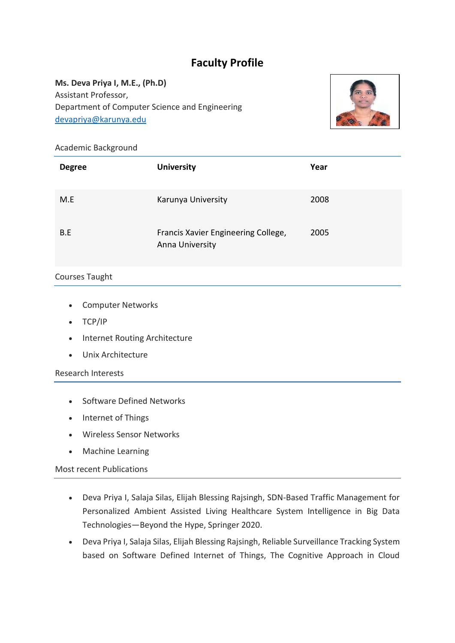# **Faculty Profile**

**Ms. Deva Priya I, M.E., (Ph.D)** Assistant Professor, Department of Computer Science and Engineering [devapriya@karunya.edu](mailto:devapriya@karunya.edu)



### Academic Background

| <b>Degree</b> | <b>University</b>                                      | Year |
|---------------|--------------------------------------------------------|------|
| M.E           | Karunya University                                     | 2008 |
| B.E           | Francis Xavier Engineering College,<br>Anna University | 2005 |

## Courses Taught

- Computer Networks
- TCP/IP
- Internet Routing Architecture
- Unix Architecture

#### Research Interests

- Software Defined Networks
- Internet of Things
- Wireless Sensor Networks
- Machine Learning

#### Most recent Publications

- Deva Priya I, Salaja Silas, Elijah Blessing Rajsingh, SDN-Based Traffic Management for Personalized Ambient Assisted Living Healthcare System Intelligence in Big Data Technologies—Beyond the Hype, Springer 2020.
- Deva Priya I, Salaja Silas, Elijah Blessing Rajsingh, Reliable Surveillance Tracking System based on Software Defined Internet of Things, The Cognitive Approach in Cloud